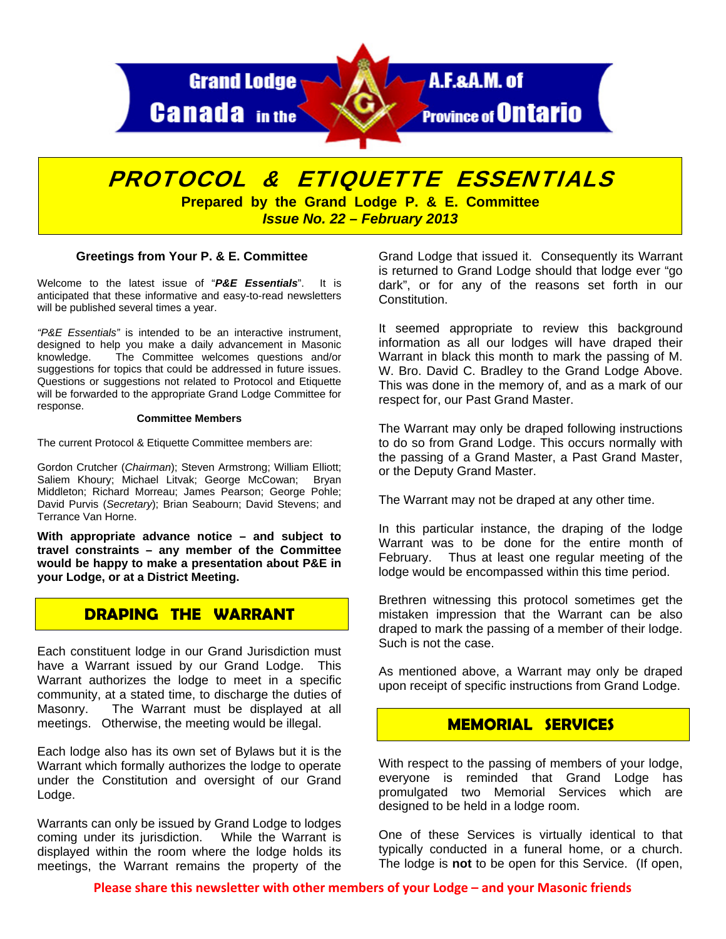

# PROTOCOL & ETIQUETTE ESSENTIALS

**Prepared by the Grand Lodge P. & E. Committee**  *Issue No. 22 – February 2013* 

#### **Greetings from Your P. & E. Committee**

Welcome to the latest issue of "*P&E Essentials*". It is anticipated that these informative and easy-to-read newsletters will be published several times a year.

*"P&E Essentials"* is intended to be an interactive instrument, designed to help you make a daily advancement in Masonic knowledge. The Committee welcomes questions and/or suggestions for topics that could be addressed in future issues. Questions or suggestions not related to Protocol and Etiquette will be forwarded to the appropriate Grand Lodge Committee for response.

#### **Committee Members**

The current Protocol & Etiquette Committee members are:

Gordon Crutcher (*Chairman*); Steven Armstrong; William Elliott; Saliem Khoury; Michael Litvak; George McCowan; Bryan Middleton; Richard Morreau; James Pearson; George Pohle; David Purvis (*Secretary*); Brian Seabourn; David Stevens; and Terrance Van Horne.

**With appropriate advance notice – and subject to travel constraints – any member of the Committee would be happy to make a presentation about P&E in your Lodge, or at a District Meeting.** 

## **DRAPING THE WARRANT**

Each constituent lodge in our Grand Jurisdiction must have a Warrant issued by our Grand Lodge. This Warrant authorizes the lodge to meet in a specific community, at a stated time, to discharge the duties of Masonry. The Warrant must be displayed at all meetings. Otherwise, the meeting would be illegal.

Each lodge also has its own set of Bylaws but it is the Warrant which formally authorizes the lodge to operate under the Constitution and oversight of our Grand Lodge.

Warrants can only be issued by Grand Lodge to lodges coming under its jurisdiction. While the Warrant is displayed within the room where the lodge holds its meetings, the Warrant remains the property of the

Grand Lodge that issued it. Consequently its Warrant is returned to Grand Lodge should that lodge ever "go dark", or for any of the reasons set forth in our Constitution.

It seemed appropriate to review this background information as all our lodges will have draped their Warrant in black this month to mark the passing of M. W. Bro. David C. Bradley to the Grand Lodge Above. This was done in the memory of, and as a mark of our respect for, our Past Grand Master.

The Warrant may only be draped following instructions to do so from Grand Lodge. This occurs normally with the passing of a Grand Master, a Past Grand Master, or the Deputy Grand Master.

The Warrant may not be draped at any other time.

In this particular instance, the draping of the lodge Warrant was to be done for the entire month of February. Thus at least one regular meeting of the lodge would be encompassed within this time period.

Brethren witnessing this protocol sometimes get the mistaken impression that the Warrant can be also draped to mark the passing of a member of their lodge. Such is not the case.

As mentioned above, a Warrant may only be draped upon receipt of specific instructions from Grand Lodge.

## **MEMORIAL SERVICES**

With respect to the passing of members of your lodge, everyone is reminded that Grand Lodge has promulgated two Memorial Services which are designed to be held in a lodge room.

One of these Services is virtually identical to that typically conducted in a funeral home, or a church. The lodge is **not** to be open for this Service. (If open,

**Please share this newsletter with other members of your Lodge – and your Masonic friends**